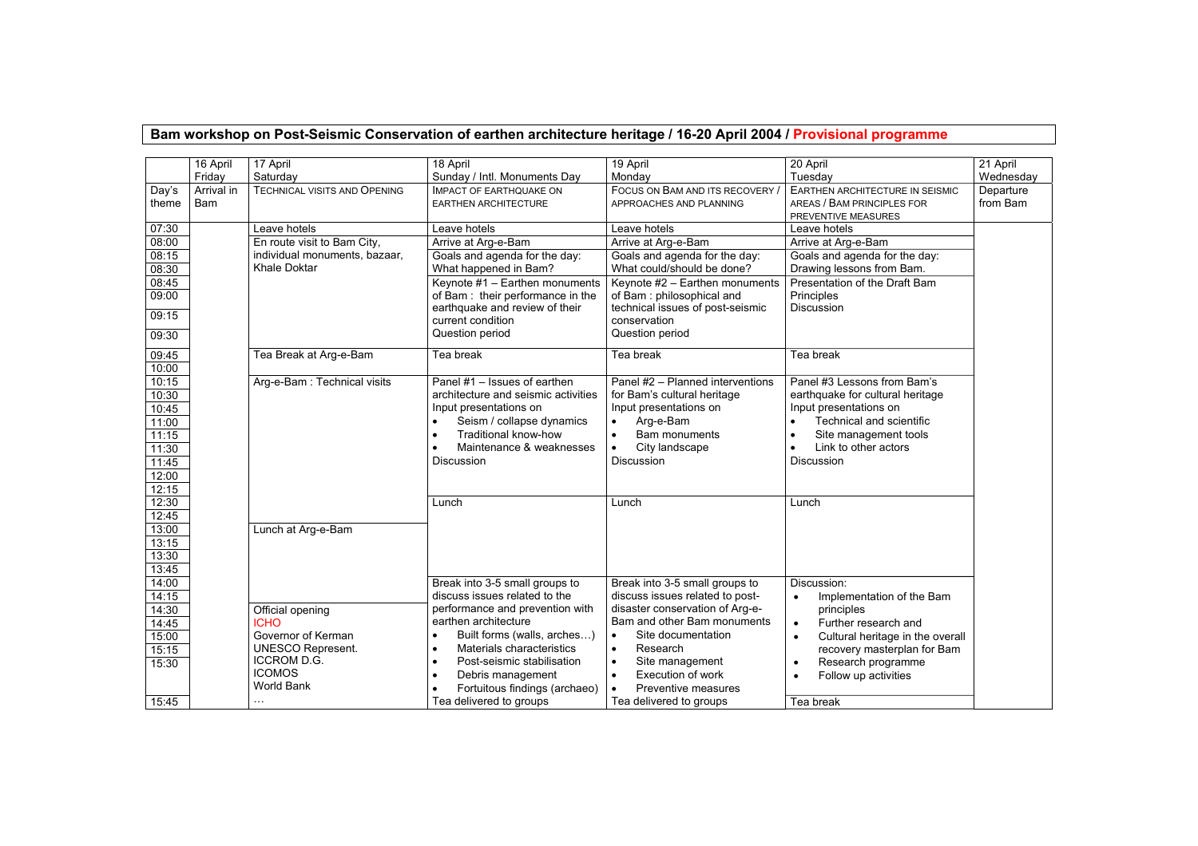## **Bam workshop on Post-Seismic Conservation of earthen architecture heritage / 16-20 April 2004 / Provisional programme**

|                                                                               | 16 April                 | 17 April                                                                                                                        | 18 April                                                                                                                                                                                            | 19 April                                                                                                                                                                                              | 20 April                                                                                                                                                                                  | 21 April              |
|-------------------------------------------------------------------------------|--------------------------|---------------------------------------------------------------------------------------------------------------------------------|-----------------------------------------------------------------------------------------------------------------------------------------------------------------------------------------------------|-------------------------------------------------------------------------------------------------------------------------------------------------------------------------------------------------------|-------------------------------------------------------------------------------------------------------------------------------------------------------------------------------------------|-----------------------|
|                                                                               | Friday                   | Saturday                                                                                                                        | Sunday / Intl. Monuments Day                                                                                                                                                                        | Mondav                                                                                                                                                                                                | Tuesday                                                                                                                                                                                   | Wednesday             |
| Day's<br>theme                                                                | Arrival in<br><b>Bam</b> | <b>TECHNICAL VISITS AND OPENING</b>                                                                                             | <b>IMPACT OF EARTHQUAKE ON</b><br><b>EARTHEN ARCHITECTURE</b>                                                                                                                                       | FOCUS ON BAM AND ITS RECOVERY<br>APPROACHES AND PLANNING                                                                                                                                              | EARTHEN ARCHITECTURE IN SEISMIC<br>AREAS / BAM PRINCIPLES FOR<br>PREVENTIVE MEASURES                                                                                                      | Departure<br>from Bam |
| 07:30                                                                         |                          | Leave hotels                                                                                                                    | Leave hotels                                                                                                                                                                                        | Leave hotels                                                                                                                                                                                          | Leave hotels                                                                                                                                                                              |                       |
| 08:00                                                                         |                          | En route visit to Bam City,                                                                                                     | Arrive at Arg-e-Bam                                                                                                                                                                                 | Arrive at Arg-e-Bam                                                                                                                                                                                   | Arrive at Arg-e-Bam                                                                                                                                                                       |                       |
| 08:15<br>08:30                                                                |                          | individual monuments, bazaar,<br>Khale Doktar                                                                                   | Goals and agenda for the day:<br>What happened in Bam?                                                                                                                                              | Goals and agenda for the day:<br>What could/should be done?                                                                                                                                           | Goals and agenda for the day:<br>Drawing lessons from Bam.                                                                                                                                |                       |
| 08:45<br>09:00<br>09:15<br>09:30                                              |                          |                                                                                                                                 | Keynote #1 - Earthen monuments<br>of Bam: their performance in the<br>earthquake and review of their<br>current condition<br>Question period                                                        | Keynote #2 - Earthen monuments<br>of Bam: philosophical and<br>technical issues of post-seismic<br>conservation<br>Question period                                                                    | Presentation of the Draft Bam<br>Principles<br>Discussion                                                                                                                                 |                       |
| 09:45<br>10:00                                                                |                          | Tea Break at Arg-e-Bam                                                                                                          | Tea break                                                                                                                                                                                           | Tea break                                                                                                                                                                                             | Tea break                                                                                                                                                                                 |                       |
| 10:15<br>10:30<br>10:45<br>11:00<br>11:15<br>11:30<br>11:45<br>12:00<br>12:15 |                          | Arg-e-Bam: Technical visits                                                                                                     | Panel #1 - Issues of earthen<br>architecture and seismic activities<br>Input presentations on<br>Seism / collapse dynamics<br>Traditional know-how<br>Maintenance & weaknesses<br><b>Discussion</b> | Panel #2 - Planned interventions<br>for Bam's cultural heritage<br>Input presentations on<br>Arg-e-Bam<br>$\bullet$<br>Bam monuments<br>$\bullet$<br>City landscape<br>$\bullet$<br><b>Discussion</b> | Panel #3 Lessons from Bam's<br>earthquake for cultural heritage<br>Input presentations on<br>Technical and scientific<br>Site management tools<br>Link to other actors<br>Discussion      |                       |
| 12:30<br>12:45<br>13:00<br>13:15<br>13:30<br>13:45<br>14:00                   |                          | Lunch at Arg-e-Bam                                                                                                              | Lunch                                                                                                                                                                                               | Lunch                                                                                                                                                                                                 | Lunch                                                                                                                                                                                     |                       |
| 14:15                                                                         |                          |                                                                                                                                 | Break into 3-5 small groups to<br>discuss issues related to the<br>performance and prevention with                                                                                                  | Break into 3-5 small groups to<br>discuss issues related to post-<br>disaster conservation of Arq-e-                                                                                                  | Discussion:<br>Implementation of the Bam<br>principles                                                                                                                                    |                       |
| 14:30<br>14:45<br>15:00<br>15:15<br>15:30                                     |                          | Official opening<br><b>ICHO</b><br>Governor of Kerman<br><b>UNESCO Represent.</b><br>ICCROM D.G.<br><b>ICOMOS</b><br>World Bank | earthen architecture<br>Built forms (walls, arches)<br>Materials characteristics<br>Post-seismic stabilisation<br>Debris management<br>Fortuitous findings (archaeo)                                | Bam and other Bam monuments<br>Site documentation<br>$\bullet$<br>Research<br>$\bullet$<br>Site management<br>$\bullet$<br>$\bullet$<br>Execution of work<br>Preventive measures<br>$\bullet$         | Further research and<br>$\bullet$<br>Cultural heritage in the overall<br>$\bullet$<br>recovery masterplan for Bam<br>Research programme<br>$\bullet$<br>Follow up activities<br>$\bullet$ |                       |
| 15:45                                                                         |                          | $\cdots$                                                                                                                        | Tea delivered to groups                                                                                                                                                                             | Tea delivered to groups                                                                                                                                                                               | Tea break                                                                                                                                                                                 |                       |